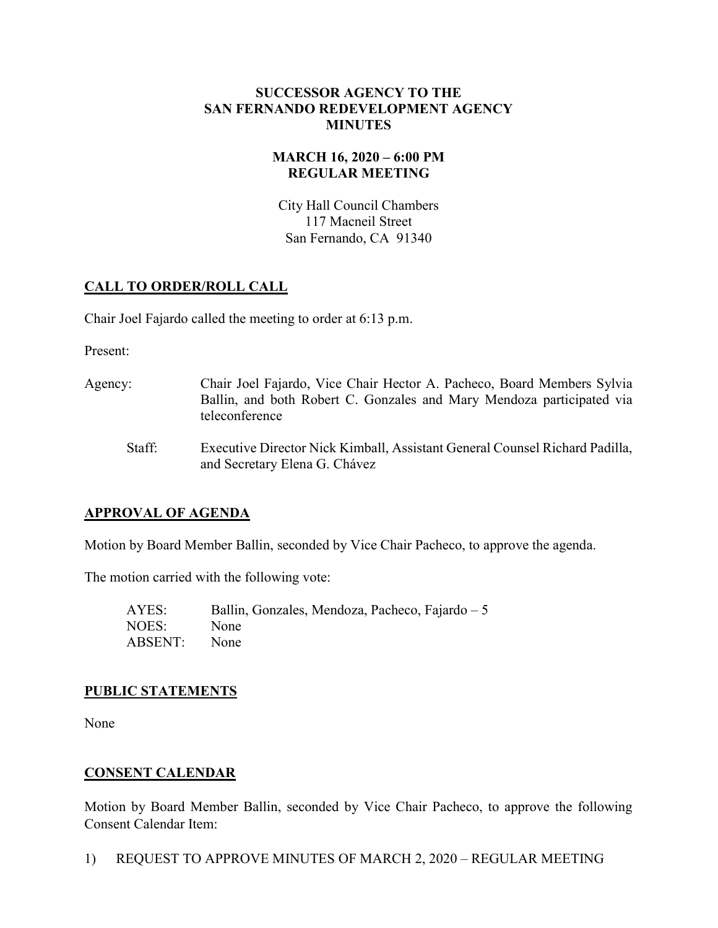#### SUCCESSOR AGENCY TO THE SAN FERNANDO REDEVELOPMENT AGENCY MINUTES

### MARCH 16, 2020 – 6:00 PM REGULAR MEETING

City Hall Council Chambers 117 Macneil Street San Fernando, CA 91340

# CALL TO ORDER/ROLL CALL

Chair Joel Fajardo called the meeting to order at 6:13 p.m.

Present:

- Agency: Chair Joel Fajardo, Vice Chair Hector A. Pacheco, Board Members Sylvia Ballin, and both Robert C. Gonzales and Mary Mendoza participated via teleconference
	- Staff: Executive Director Nick Kimball, Assistant General Counsel Richard Padilla, and Secretary Elena G. Chávez

# APPROVAL OF AGENDA

Motion by Board Member Ballin, seconded by Vice Chair Pacheco, to approve the agenda.

The motion carried with the following vote:

| AYES:        | Ballin, Gonzales, Mendoza, Pacheco, Fajardo – 5 |
|--------------|-------------------------------------------------|
| NOES:        | None                                            |
| ABSENT: None |                                                 |

# PUBLIC STATEMENTS

None

# CONSENT CALENDAR

Motion by Board Member Ballin, seconded by Vice Chair Pacheco, to approve the following Consent Calendar Item:

1) REQUEST TO APPROVE MINUTES OF MARCH 2, 2020 – REGULAR MEETING